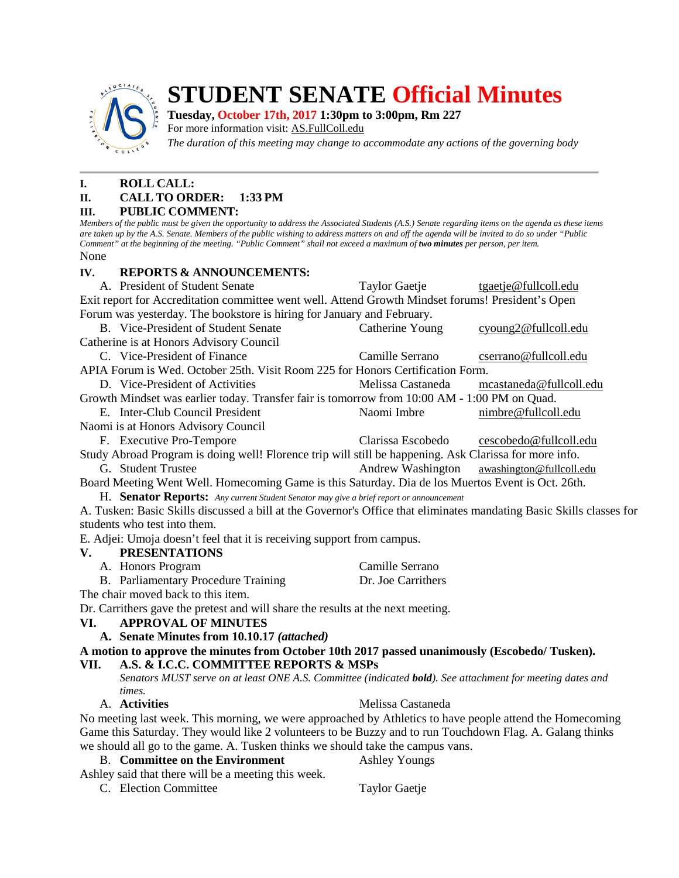

# **STUDENT SENATE Official Minutes**

# **Tuesday, October 17th, 2017 1:30pm to 3:00pm, Rm 227**

For more information visit: AS.FullColl.edu

*The duration of this meeting may change to accommodate any actions of the governing body*

# **I. ROLL CALL:**

## **II. CALL TO ORDER: 1:33 PM**

#### **III. PUBLIC COMMENT:**

*Members of the public must be given the opportunity to address the Associated Students (A.S.) Senate regarding items on the agenda as these items are taken up by the A.S. Senate. Members of the public wishing to address matters on and off the agenda will be invited to do so under "Public Comment" at the beginning of the meeting. "Public Comment" shall not exceed a maximum of two minutes per person, per item.* None

## **IV. REPORTS & ANNOUNCEMENTS:**

A. President of Student Senate Taylor Gaetje tgaetj[e@fullcoll.edu](mailto:ndiehr@fullcoll.edu) Exit report for Accreditation committee went well. Attend Growth Mindset forums! President's Open Forum was yesterday. The bookstore is hiring for January and February. B. Vice-President of Student Senate Catherine Young cyoung[2@fullcoll.edu](mailto:tgaetje@fullcoll.edu) Catherine is at Honors Advisory Council C. Vice-President of Finance Camille Serrano cserran[o@fullcoll.edu](mailto:kflores@fullcoll.edu) APIA Forum is Wed. October 25th. Visit Room 225 for Honors Certification Form. D. Vice-President of Activities Melissa Castaneda mcastaned[a@fullcoll.edu](mailto:lmukasawilson@fullcoll.edu) Growth Mindset was earlier today. Transfer fair is tomorrow from 10:00 AM - 1:00 PM on Quad. E. Inter-Club Council President Naomi Imbre nimbr[e@fullcoll.edu](mailto:jhohbein@fullcoll.edu) Naomi is at Honors Advisory Council F. Executive Pro-Tempore Clarissa Escobedo cescobedo@fullcoll.edu Study Abroad Program is doing well! Florence trip will still be happening. Ask Clarissa for more info. G. Student Trustee Andrew Washington awashington@fullcoll.edu Board Meeting Went Well. Homecoming Game is this Saturday. Dia de los Muertos Event is Oct. 26th. H. **Senator Reports:** *Any current Student Senator may give a brief report or announcement* A. Tusken: Basic Skills discussed a bill at the Governor's Office that eliminates mandating Basic Skills classes for students who test into them. E. Adjei: Umoja doesn't feel that it is receiving support from campus. **V. PRESENTATIONS** A. Honors Program Camille Serrano B. Parliamentary Procedure Training Dr. Joe Carrithers The chair moved back to this item. Dr. Carrithers gave the pretest and will share the results at the next meeting. **VI. APPROVAL OF MINUTES A. Senate Minutes from 10.10.17** *(attached)* **A motion to approve the minutes from October 10th 2017 passed unanimously (Escobedo/ Tusken). VII. A.S. & I.C.C. COMMITTEE REPORTS & MSPs** *Senators MUST serve on at least ONE A.S. Committee (indicated bold). See attachment for meeting dates and times.* A. **Activities** Melissa Castaneda

No meeting last week. This morning, we were approached by Athletics to have people attend the Homecoming Game this Saturday. They would like 2 volunteers to be Buzzy and to run Touchdown Flag. A. Galang thinks we should all go to the game. A. Tusken thinks we should take the campus vans.

- B. **Committee on the Environment** Ashley Youngs
- Ashley said that there will be a meeting this week. C. Election Committee Taylor Gaetje
	-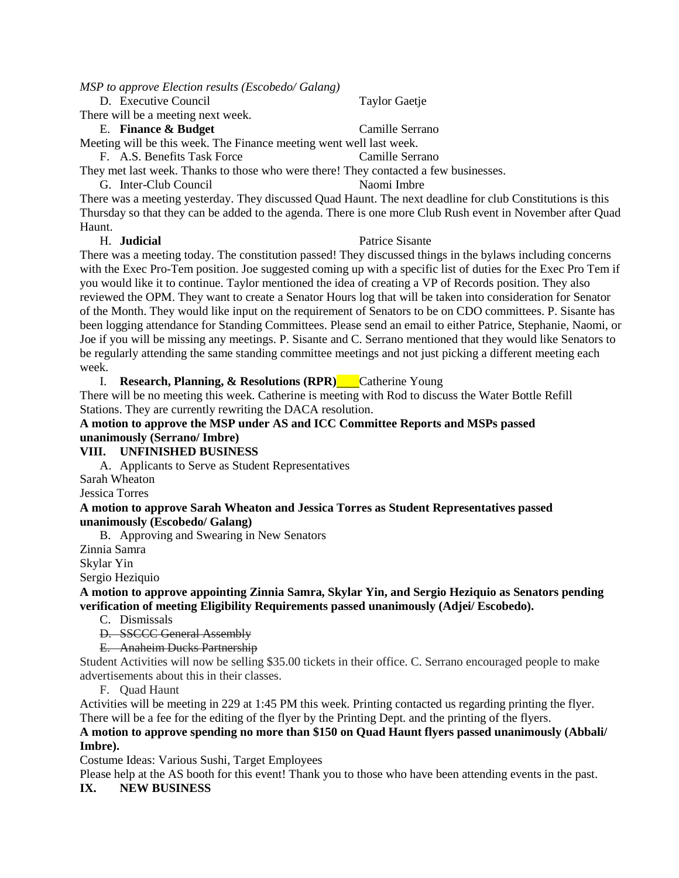*MSP to approve Election results (Escobedo/ Galang)*

#### D. Executive Council Taylor Gaetje

There will be a meeting next week.

#### E. **Finance & Budget** Camille Serrano

Meeting will be this week. The Finance meeting went well last week.

F. A.S. Benefits Task Force Camille Serrano

They met last week. Thanks to those who were there! They contacted a few businesses. G. Inter-Club Council Naomi Imbre

There was a meeting yesterday. They discussed Quad Haunt. The next deadline for club Constitutions is this Thursday so that they can be added to the agenda. There is one more Club Rush event in November after Quad Haunt.

## H. **Judicial** Patrice Sisante

There was a meeting today. The constitution passed! They discussed things in the bylaws including concerns with the Exec Pro-Tem position. Joe suggested coming up with a specific list of duties for the Exec Pro Tem if you would like it to continue. Taylor mentioned the idea of creating a VP of Records position. They also reviewed the OPM. They want to create a Senator Hours log that will be taken into consideration for Senator of the Month. They would like input on the requirement of Senators to be on CDO committees. P. Sisante has been logging attendance for Standing Committees. Please send an email to either Patrice, Stephanie, Naomi, or Joe if you will be missing any meetings. P. Sisante and C. Serrano mentioned that they would like Senators to be regularly attending the same standing committee meetings and not just picking a different meeting each week.

I. **Research, Planning, & Resolutions (RPR)** Catherine Young

There will be no meeting this week. Catherine is meeting with Rod to discuss the Water Bottle Refill Stations. They are currently rewriting the DACA resolution.

## **A motion to approve the MSP under AS and ICC Committee Reports and MSPs passed unanimously (Serrano/ Imbre)**

# **VIII. UNFINISHED BUSINESS**

A. Applicants to Serve as Student Representatives

Sarah Wheaton

Jessica Torres

#### **A motion to approve Sarah Wheaton and Jessica Torres as Student Representatives passed unanimously (Escobedo/ Galang)**

B. Approving and Swearing in New Senators

Zinnia Samra

Skylar Yin

Sergio Heziquio

**A motion to approve appointing Zinnia Samra, Skylar Yin, and Sergio Heziquio as Senators pending verification of meeting Eligibility Requirements passed unanimously (Adjei/ Escobedo).**

C. Dismissals

D. SSCCC General Assembly

E. Anaheim Ducks Partnership

Student Activities will now be selling \$35.00 tickets in their office. C. Serrano encouraged people to make advertisements about this in their classes.

F. Quad Haunt

Activities will be meeting in 229 at 1:45 PM this week. Printing contacted us regarding printing the flyer. There will be a fee for the editing of the flyer by the Printing Dept. and the printing of the flyers.

## **A motion to approve spending no more than \$150 on Quad Haunt flyers passed unanimously (Abbali/ Imbre).**

Costume Ideas: Various Sushi, Target Employees

Please help at the AS booth for this event! Thank you to those who have been attending events in the past.

# **IX. NEW BUSINESS**